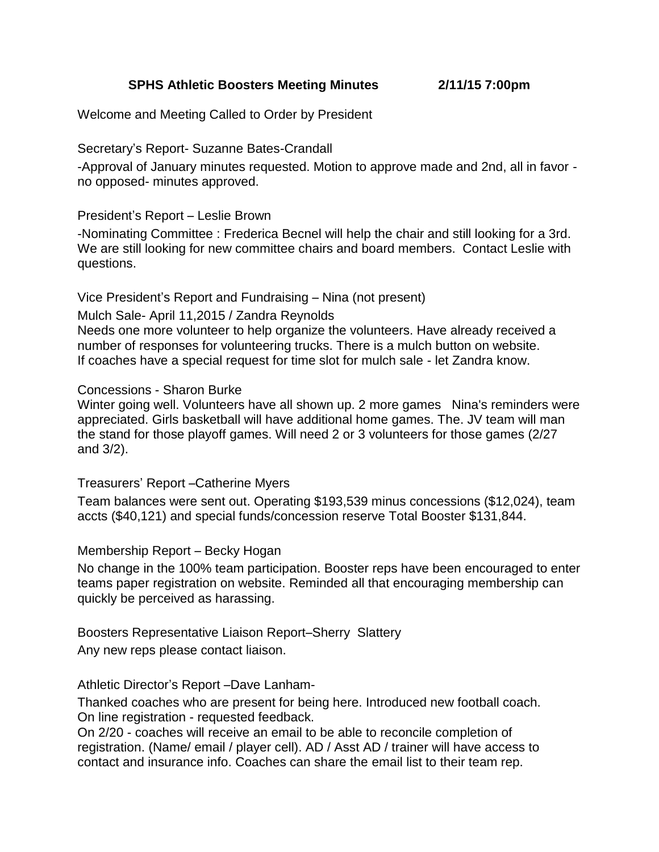**SPHS Athletic Boosters Meeting Minutes 2/11/15 7:00pm**

Welcome and Meeting Called to Order by President

Secretary's Report- Suzanne Bates-Crandall

-Approval of January minutes requested. Motion to approve made and 2nd, all in favor no opposed- minutes approved.

## President's Report – Leslie Brown

-Nominating Committee : Frederica Becnel will help the chair and still looking for a 3rd. We are still looking for new committee chairs and board members. Contact Leslie with questions.

Vice President's Report and Fundraising – Nina (not present)

### Mulch Sale- April 11,2015 / Zandra Reynolds

Needs one more volunteer to help organize the volunteers. Have already received a number of responses for volunteering trucks. There is a mulch button on website. If coaches have a special request for time slot for mulch sale - let Zandra know.

## Concessions - Sharon Burke

Winter going well. Volunteers have all shown up. 2 more games Nina's reminders were appreciated. Girls basketball will have additional home games. The. JV team will man the stand for those playoff games. Will need 2 or 3 volunteers for those games (2/27 and 3/2).

### Treasurers' Report –Catherine Myers

Team balances were sent out. Operating \$193,539 minus concessions (\$12,024), team accts (\$40,121) and special funds/concession reserve Total Booster \$131,844.

# Membership Report – Becky Hogan

No change in the 100% team participation. Booster reps have been encouraged to enter teams paper registration on website. Reminded all that encouraging membership can quickly be perceived as harassing.

Boosters Representative Liaison Report–Sherry Slattery

Any new reps please contact liaison.

# Athletic Director's Report –Dave Lanham-

Thanked coaches who are present for being here. Introduced new football coach. On line registration - requested feedback.

On 2/20 - coaches will receive an email to be able to reconcile completion of registration. (Name/ email / player cell). AD / Asst AD / trainer will have access to contact and insurance info. Coaches can share the email list to their team rep.